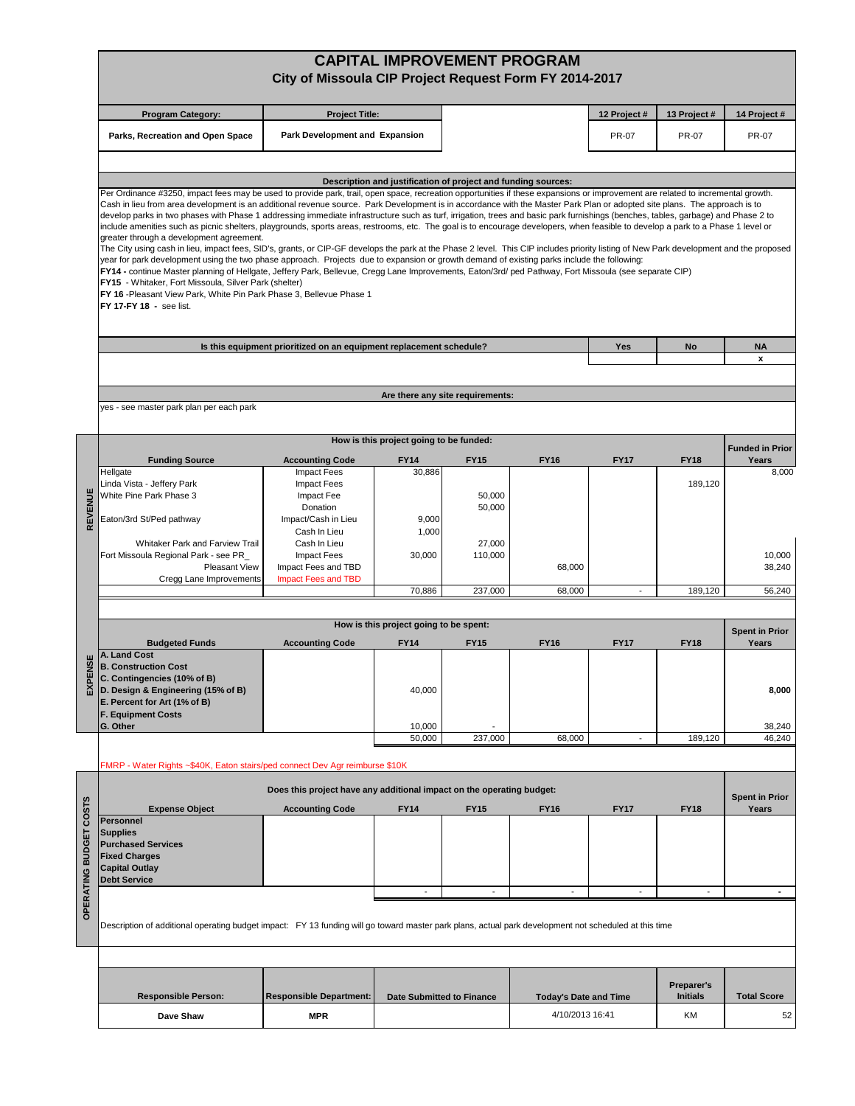|                        |                                                                                                                                                                                                                                                                                                                                                                                                                                                                                                                                                                                                                                                                                                                                                                                                                                                                                                                                                                                                                                                                                                                                                                                                                                                                                                                                                                                                                                                  | City of Missoula CIP Project Request Form FY 2014-2017                |                                         |                                                               | <b>CAPITAL IMPROVEMENT PROGRAM</b> |                          |                               |                                |
|------------------------|--------------------------------------------------------------------------------------------------------------------------------------------------------------------------------------------------------------------------------------------------------------------------------------------------------------------------------------------------------------------------------------------------------------------------------------------------------------------------------------------------------------------------------------------------------------------------------------------------------------------------------------------------------------------------------------------------------------------------------------------------------------------------------------------------------------------------------------------------------------------------------------------------------------------------------------------------------------------------------------------------------------------------------------------------------------------------------------------------------------------------------------------------------------------------------------------------------------------------------------------------------------------------------------------------------------------------------------------------------------------------------------------------------------------------------------------------|-----------------------------------------------------------------------|-----------------------------------------|---------------------------------------------------------------|------------------------------------|--------------------------|-------------------------------|--------------------------------|
|                        | <b>Program Category:</b>                                                                                                                                                                                                                                                                                                                                                                                                                                                                                                                                                                                                                                                                                                                                                                                                                                                                                                                                                                                                                                                                                                                                                                                                                                                                                                                                                                                                                         | <b>Project Title:</b>                                                 |                                         |                                                               |                                    | 12 Project#              | 13 Project#                   | 14 Project #                   |
|                        | Parks, Recreation and Open Space                                                                                                                                                                                                                                                                                                                                                                                                                                                                                                                                                                                                                                                                                                                                                                                                                                                                                                                                                                                                                                                                                                                                                                                                                                                                                                                                                                                                                 | Park Development and Expansion                                        |                                         |                                                               |                                    | <b>PR-07</b>             | PR-07                         | <b>PR-07</b>                   |
|                        |                                                                                                                                                                                                                                                                                                                                                                                                                                                                                                                                                                                                                                                                                                                                                                                                                                                                                                                                                                                                                                                                                                                                                                                                                                                                                                                                                                                                                                                  |                                                                       |                                         |                                                               |                                    |                          |                               |                                |
|                        |                                                                                                                                                                                                                                                                                                                                                                                                                                                                                                                                                                                                                                                                                                                                                                                                                                                                                                                                                                                                                                                                                                                                                                                                                                                                                                                                                                                                                                                  |                                                                       |                                         | Description and justification of project and funding sources: |                                    |                          |                               |                                |
|                        | Per Ordinance #3250, impact fees may be used to provide park, trail, open space, recreation opportunities if these expansions or improvement are related to incremental growth.<br>Cash in lieu from area development is an additional revenue source. Park Development is in accordance with the Master Park Plan or adopted site plans. The approach is to<br>develop parks in two phases with Phase 1 addressing immediate infrastructure such as turf, irrigation, trees and basic park furnishings (benches, tables, garbage) and Phase 2 to<br>include amenities such as picnic shelters, playgrounds, sports areas, restrooms, etc. The goal is to encourage developers, when feasible to develop a park to a Phase 1 level or<br>greater through a development agreement.<br>The City using cash in lieu, impact fees, SID's, grants, or CIP-GF develops the park at the Phase 2 level. This CIP includes priority listing of New Park development and the proposed<br>year for park development using the two phase approach. Projects due to expansion or growth demand of existing parks include the following:<br>FY14 - continue Master planning of Hellgate, Jeffery Park, Bellevue, Cregg Lane Improvements, Eaton/3rd/ ped Pathway, Fort Missoula (see separate CIP)<br>FY15 - Whitaker, Fort Missoula, Silver Park (shelter)<br>FY 16 - Pleasant View Park, White Pin Park Phase 3, Bellevue Phase 1<br>FY 17-FY 18 - see list. |                                                                       |                                         |                                                               |                                    |                          |                               |                                |
|                        |                                                                                                                                                                                                                                                                                                                                                                                                                                                                                                                                                                                                                                                                                                                                                                                                                                                                                                                                                                                                                                                                                                                                                                                                                                                                                                                                                                                                                                                  | Is this equipment prioritized on an equipment replacement schedule?   |                                         |                                                               |                                    | Yes                      | <b>No</b>                     | <b>NA</b>                      |
|                        |                                                                                                                                                                                                                                                                                                                                                                                                                                                                                                                                                                                                                                                                                                                                                                                                                                                                                                                                                                                                                                                                                                                                                                                                                                                                                                                                                                                                                                                  |                                                                       |                                         |                                                               |                                    |                          |                               | x                              |
|                        |                                                                                                                                                                                                                                                                                                                                                                                                                                                                                                                                                                                                                                                                                                                                                                                                                                                                                                                                                                                                                                                                                                                                                                                                                                                                                                                                                                                                                                                  |                                                                       |                                         |                                                               |                                    |                          |                               |                                |
|                        | yes - see master park plan per each park                                                                                                                                                                                                                                                                                                                                                                                                                                                                                                                                                                                                                                                                                                                                                                                                                                                                                                                                                                                                                                                                                                                                                                                                                                                                                                                                                                                                         |                                                                       |                                         | Are there any site requirements:                              |                                    |                          |                               |                                |
|                        |                                                                                                                                                                                                                                                                                                                                                                                                                                                                                                                                                                                                                                                                                                                                                                                                                                                                                                                                                                                                                                                                                                                                                                                                                                                                                                                                                                                                                                                  |                                                                       |                                         |                                                               |                                    |                          |                               |                                |
|                        |                                                                                                                                                                                                                                                                                                                                                                                                                                                                                                                                                                                                                                                                                                                                                                                                                                                                                                                                                                                                                                                                                                                                                                                                                                                                                                                                                                                                                                                  |                                                                       | How is this project going to be funded: |                                                               |                                    |                          |                               | <b>Funded in Prior</b>         |
|                        | <b>Funding Source</b><br>Hellgate                                                                                                                                                                                                                                                                                                                                                                                                                                                                                                                                                                                                                                                                                                                                                                                                                                                                                                                                                                                                                                                                                                                                                                                                                                                                                                                                                                                                                | <b>Accounting Code</b><br><b>Impact Fees</b>                          | <b>FY14</b><br>30,886                   | <b>FY15</b>                                                   | <b>FY16</b>                        | <b>FY17</b>              | <b>FY18</b>                   | Years<br>8,000                 |
|                        | Linda Vista - Jeffery Park                                                                                                                                                                                                                                                                                                                                                                                                                                                                                                                                                                                                                                                                                                                                                                                                                                                                                                                                                                                                                                                                                                                                                                                                                                                                                                                                                                                                                       | <b>Impact Fees</b>                                                    |                                         |                                                               |                                    |                          | 189,120                       |                                |
|                        | White Pine Park Phase 3                                                                                                                                                                                                                                                                                                                                                                                                                                                                                                                                                                                                                                                                                                                                                                                                                                                                                                                                                                                                                                                                                                                                                                                                                                                                                                                                                                                                                          | Impact Fee<br>Donation                                                |                                         | 50,000<br>50,000                                              |                                    |                          |                               |                                |
| REVENUE                | Eaton/3rd St/Ped pathway                                                                                                                                                                                                                                                                                                                                                                                                                                                                                                                                                                                                                                                                                                                                                                                                                                                                                                                                                                                                                                                                                                                                                                                                                                                                                                                                                                                                                         | Impact/Cash in Lieu                                                   | 9,000                                   |                                                               |                                    |                          |                               |                                |
|                        | Whitaker Park and Farview Trail                                                                                                                                                                                                                                                                                                                                                                                                                                                                                                                                                                                                                                                                                                                                                                                                                                                                                                                                                                                                                                                                                                                                                                                                                                                                                                                                                                                                                  | Cash In Lieu<br>Cash In Lieu                                          | 1,000                                   | 27,000                                                        |                                    |                          |                               |                                |
|                        | Fort Missoula Regional Park - see PR_                                                                                                                                                                                                                                                                                                                                                                                                                                                                                                                                                                                                                                                                                                                                                                                                                                                                                                                                                                                                                                                                                                                                                                                                                                                                                                                                                                                                            | <b>Impact Fees</b>                                                    | 30,000                                  | 110,000                                                       |                                    |                          |                               | 10,000                         |
|                        | <b>Pleasant View</b><br>Cregg Lane Improvements                                                                                                                                                                                                                                                                                                                                                                                                                                                                                                                                                                                                                                                                                                                                                                                                                                                                                                                                                                                                                                                                                                                                                                                                                                                                                                                                                                                                  | Impact Fees and TBD<br><b>Impact Fees and TBD</b>                     |                                         |                                                               | 68,000                             |                          |                               | 38,240                         |
|                        |                                                                                                                                                                                                                                                                                                                                                                                                                                                                                                                                                                                                                                                                                                                                                                                                                                                                                                                                                                                                                                                                                                                                                                                                                                                                                                                                                                                                                                                  |                                                                       | 70,886                                  | 237,000                                                       | 68,000                             |                          | 189,120                       | 56,240                         |
|                        |                                                                                                                                                                                                                                                                                                                                                                                                                                                                                                                                                                                                                                                                                                                                                                                                                                                                                                                                                                                                                                                                                                                                                                                                                                                                                                                                                                                                                                                  |                                                                       | How is this project going to be spent:  |                                                               |                                    |                          |                               |                                |
|                        | <b>Budgeted Funds</b>                                                                                                                                                                                                                                                                                                                                                                                                                                                                                                                                                                                                                                                                                                                                                                                                                                                                                                                                                                                                                                                                                                                                                                                                                                                                                                                                                                                                                            | <b>Accounting Code</b>                                                | <b>FY14</b>                             | <b>FY15</b>                                                   | <b>FY16</b>                        | <b>FY17</b>              | <b>FY18</b>                   | <b>Spent in Prior</b><br>Years |
| <b>SSE</b>             | A. Land Cost                                                                                                                                                                                                                                                                                                                                                                                                                                                                                                                                                                                                                                                                                                                                                                                                                                                                                                                                                                                                                                                                                                                                                                                                                                                                                                                                                                                                                                     |                                                                       |                                         |                                                               |                                    |                          |                               |                                |
| 出<br>띳                 | <b>B. Construction Cost</b><br>C. Contingencies (10% of B)<br>D. Design & Engineering (15% of B)<br>E. Percent for Art (1% of B)<br><b>F. Equipment Costs</b>                                                                                                                                                                                                                                                                                                                                                                                                                                                                                                                                                                                                                                                                                                                                                                                                                                                                                                                                                                                                                                                                                                                                                                                                                                                                                    |                                                                       | 40,000                                  |                                                               |                                    |                          |                               | 8,000                          |
|                        | G. Other                                                                                                                                                                                                                                                                                                                                                                                                                                                                                                                                                                                                                                                                                                                                                                                                                                                                                                                                                                                                                                                                                                                                                                                                                                                                                                                                                                                                                                         |                                                                       | 10,000<br>50,000                        |                                                               |                                    | $\overline{\phantom{a}}$ |                               | 38,240<br>46,240               |
|                        |                                                                                                                                                                                                                                                                                                                                                                                                                                                                                                                                                                                                                                                                                                                                                                                                                                                                                                                                                                                                                                                                                                                                                                                                                                                                                                                                                                                                                                                  |                                                                       |                                         | 237,000                                                       | 68,000                             |                          | 189,120                       |                                |
|                        | FMRP - Water Rights ~\$40K, Eaton stairs/ped connect Dev Agr reimburse \$10K                                                                                                                                                                                                                                                                                                                                                                                                                                                                                                                                                                                                                                                                                                                                                                                                                                                                                                                                                                                                                                                                                                                                                                                                                                                                                                                                                                     |                                                                       |                                         |                                                               |                                    |                          |                               |                                |
|                        |                                                                                                                                                                                                                                                                                                                                                                                                                                                                                                                                                                                                                                                                                                                                                                                                                                                                                                                                                                                                                                                                                                                                                                                                                                                                                                                                                                                                                                                  | Does this project have any additional impact on the operating budget: |                                         |                                                               |                                    |                          |                               | <b>Spent in Prior</b>          |
|                        | <b>Expense Object</b>                                                                                                                                                                                                                                                                                                                                                                                                                                                                                                                                                                                                                                                                                                                                                                                                                                                                                                                                                                                                                                                                                                                                                                                                                                                                                                                                                                                                                            | <b>Accounting Code</b>                                                | <b>FY14</b>                             | <b>FY15</b>                                                   | <b>FY16</b>                        | <b>FY17</b>              | <b>FY18</b>                   | Years                          |
| OPERATING BUDGET COSTS | <b>Personnel</b><br><b>Supplies</b><br><b>Purchased Services</b><br><b>Fixed Charges</b>                                                                                                                                                                                                                                                                                                                                                                                                                                                                                                                                                                                                                                                                                                                                                                                                                                                                                                                                                                                                                                                                                                                                                                                                                                                                                                                                                         |                                                                       |                                         |                                                               |                                    |                          |                               |                                |
|                        | <b>Capital Outlay</b><br><b>Debt Service</b>                                                                                                                                                                                                                                                                                                                                                                                                                                                                                                                                                                                                                                                                                                                                                                                                                                                                                                                                                                                                                                                                                                                                                                                                                                                                                                                                                                                                     |                                                                       |                                         |                                                               |                                    |                          |                               |                                |
|                        |                                                                                                                                                                                                                                                                                                                                                                                                                                                                                                                                                                                                                                                                                                                                                                                                                                                                                                                                                                                                                                                                                                                                                                                                                                                                                                                                                                                                                                                  |                                                                       | $\sim$                                  | $\overline{\phantom{a}}$                                      | $\overline{\phantom{a}}$           | $\overline{a}$           | $\sim$                        |                                |
|                        | Description of additional operating budget impact: FY 13 funding will go toward master park plans, actual park development not scheduled at this time                                                                                                                                                                                                                                                                                                                                                                                                                                                                                                                                                                                                                                                                                                                                                                                                                                                                                                                                                                                                                                                                                                                                                                                                                                                                                            |                                                                       |                                         |                                                               |                                    |                          |                               |                                |
|                        |                                                                                                                                                                                                                                                                                                                                                                                                                                                                                                                                                                                                                                                                                                                                                                                                                                                                                                                                                                                                                                                                                                                                                                                                                                                                                                                                                                                                                                                  |                                                                       |                                         |                                                               |                                    |                          |                               |                                |
|                        | <b>Responsible Person:</b>                                                                                                                                                                                                                                                                                                                                                                                                                                                                                                                                                                                                                                                                                                                                                                                                                                                                                                                                                                                                                                                                                                                                                                                                                                                                                                                                                                                                                       | <b>Responsible Department:</b>                                        |                                         | <b>Date Submitted to Finance</b>                              | <b>Today's Date and Time</b>       |                          | Preparer's<br><b>Initials</b> | <b>Total Score</b>             |
|                        | Dave Shaw                                                                                                                                                                                                                                                                                                                                                                                                                                                                                                                                                                                                                                                                                                                                                                                                                                                                                                                                                                                                                                                                                                                                                                                                                                                                                                                                                                                                                                        | <b>MPR</b>                                                            |                                         |                                                               | 4/10/2013 16:41                    |                          | KM                            | 52                             |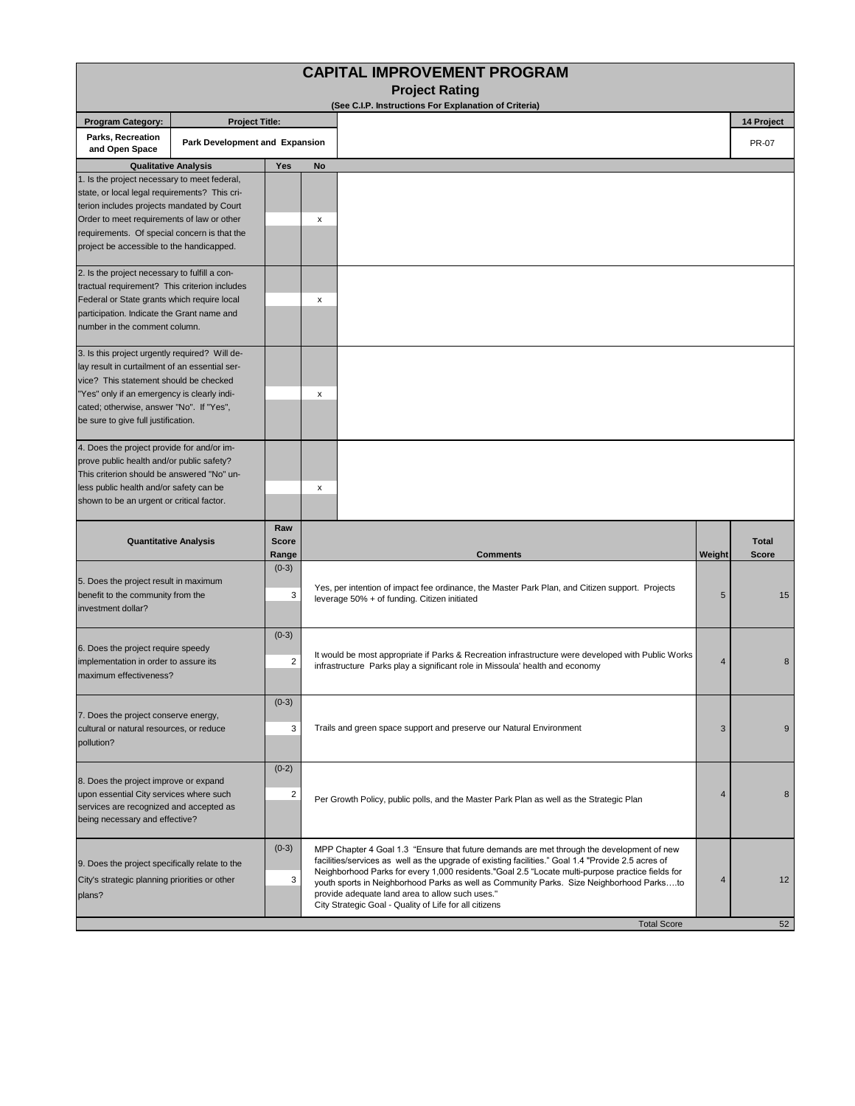|                                                                                                                                                                                                                                                                                        |                                |                              |                                                                                                                                                                                    | <b>CAPITAL IMPROVEMENT PROGRAM</b><br><b>Project Rating</b>                                                                                                                                                                                                                                                                                                                                                                                                                                                  |        |                              |  |  |
|----------------------------------------------------------------------------------------------------------------------------------------------------------------------------------------------------------------------------------------------------------------------------------------|--------------------------------|------------------------------|------------------------------------------------------------------------------------------------------------------------------------------------------------------------------------|--------------------------------------------------------------------------------------------------------------------------------------------------------------------------------------------------------------------------------------------------------------------------------------------------------------------------------------------------------------------------------------------------------------------------------------------------------------------------------------------------------------|--------|------------------------------|--|--|
|                                                                                                                                                                                                                                                                                        |                                |                              |                                                                                                                                                                                    | (See C.I.P. Instructions For Explanation of Criteria)                                                                                                                                                                                                                                                                                                                                                                                                                                                        |        |                              |  |  |
| <b>Program Category:</b>                                                                                                                                                                                                                                                               | <b>Project Title:</b>          |                              |                                                                                                                                                                                    |                                                                                                                                                                                                                                                                                                                                                                                                                                                                                                              |        | 14 Project                   |  |  |
| Parks, Recreation<br>and Open Space                                                                                                                                                                                                                                                    | Park Development and Expansion |                              |                                                                                                                                                                                    |                                                                                                                                                                                                                                                                                                                                                                                                                                                                                                              |        | <b>PR-07</b>                 |  |  |
|                                                                                                                                                                                                                                                                                        | <b>Qualitative Analysis</b>    | Yes                          | No                                                                                                                                                                                 |                                                                                                                                                                                                                                                                                                                                                                                                                                                                                                              |        |                              |  |  |
| 1. Is the project necessary to meet federal,<br>state, or local legal requirements? This cri-<br>terion includes projects mandated by Court<br>Order to meet requirements of law or other<br>requirements. Of special concern is that the<br>project be accessible to the handicapped. |                                |                              | х                                                                                                                                                                                  |                                                                                                                                                                                                                                                                                                                                                                                                                                                                                                              |        |                              |  |  |
| 2. Is the project necessary to fulfill a con-<br>tractual requirement? This criterion includes<br>Federal or State grants which require local<br>participation. Indicate the Grant name and<br>number in the comment column.                                                           |                                |                              | x                                                                                                                                                                                  |                                                                                                                                                                                                                                                                                                                                                                                                                                                                                                              |        |                              |  |  |
| 3. Is this project urgently required? Will de-<br>lay result in curtailment of an essential ser-<br>vice? This statement should be checked<br>"Yes" only if an emergency is clearly indi-<br>cated; otherwise, answer "No". If "Yes",<br>be sure to give full justification.           |                                |                              | x                                                                                                                                                                                  |                                                                                                                                                                                                                                                                                                                                                                                                                                                                                                              |        |                              |  |  |
| 4. Does the project provide for and/or im-<br>prove public health and/or public safety?<br>This criterion should be answered "No" un-<br>less public health and/or safety can be<br>shown to be an urgent or critical factor.                                                          |                                |                              | х                                                                                                                                                                                  |                                                                                                                                                                                                                                                                                                                                                                                                                                                                                                              |        |                              |  |  |
|                                                                                                                                                                                                                                                                                        | <b>Quantitative Analysis</b>   | Raw<br><b>Score</b><br>Range |                                                                                                                                                                                    | <b>Comments</b>                                                                                                                                                                                                                                                                                                                                                                                                                                                                                              | Weight | <b>Total</b><br><b>Score</b> |  |  |
| 5. Does the project result in maximum<br>benefit to the community from the<br>investment dollar?                                                                                                                                                                                       |                                | $(0-3)$<br>3                 |                                                                                                                                                                                    | Yes, per intention of impact fee ordinance, the Master Park Plan, and Citizen support. Projects<br>leverage 50% + of funding. Citizen initiated                                                                                                                                                                                                                                                                                                                                                              | 5      | 15                           |  |  |
| $(0-3)$<br>6. Does the project require speedy<br>implementation in order to assure its<br>$\overline{2}$<br>maximum effectiveness?                                                                                                                                                     |                                |                              | It would be most appropriate if Parks & Recreation infrastructure were developed with Public Works<br>infrastructure Parks play a significant role in Missoula' health and economy |                                                                                                                                                                                                                                                                                                                                                                                                                                                                                                              |        |                              |  |  |
| 7. Does the project conserve energy,<br>cultural or natural resources, or reduce<br>pollution?                                                                                                                                                                                         |                                | $(0-3)$<br>3                 |                                                                                                                                                                                    | Trails and green space support and preserve our Natural Environment                                                                                                                                                                                                                                                                                                                                                                                                                                          | 3      | 9                            |  |  |
| 8. Does the project improve or expand<br>upon essential City services where such<br>services are recognized and accepted as<br>being necessary and effective?                                                                                                                          |                                | $(0-2)$<br>$\overline{2}$    |                                                                                                                                                                                    | Per Growth Policy, public polls, and the Master Park Plan as well as the Strategic Plan                                                                                                                                                                                                                                                                                                                                                                                                                      | 4      | 8                            |  |  |
| $(0-3)$<br>9. Does the project specifically relate to the<br>City's strategic planning priorities or other<br>plans?                                                                                                                                                                   |                                |                              |                                                                                                                                                                                    | MPP Chapter 4 Goal 1.3 "Ensure that future demands are met through the development of new<br>facilities/services as well as the upgrade of existing facilities." Goal 1.4 "Provide 2.5 acres of<br>Neighborhood Parks for every 1,000 residents."Goal 2.5 "Locate multi-purpose practice fields for<br>youth sports in Neighborhood Parks as well as Community Parks. Size Neighborhood Parksto<br>provide adequate land area to allow such uses."<br>City Strategic Goal - Quality of Life for all citizens |        |                              |  |  |
|                                                                                                                                                                                                                                                                                        |                                |                              |                                                                                                                                                                                    | <b>Total Score</b>                                                                                                                                                                                                                                                                                                                                                                                                                                                                                           |        | 52                           |  |  |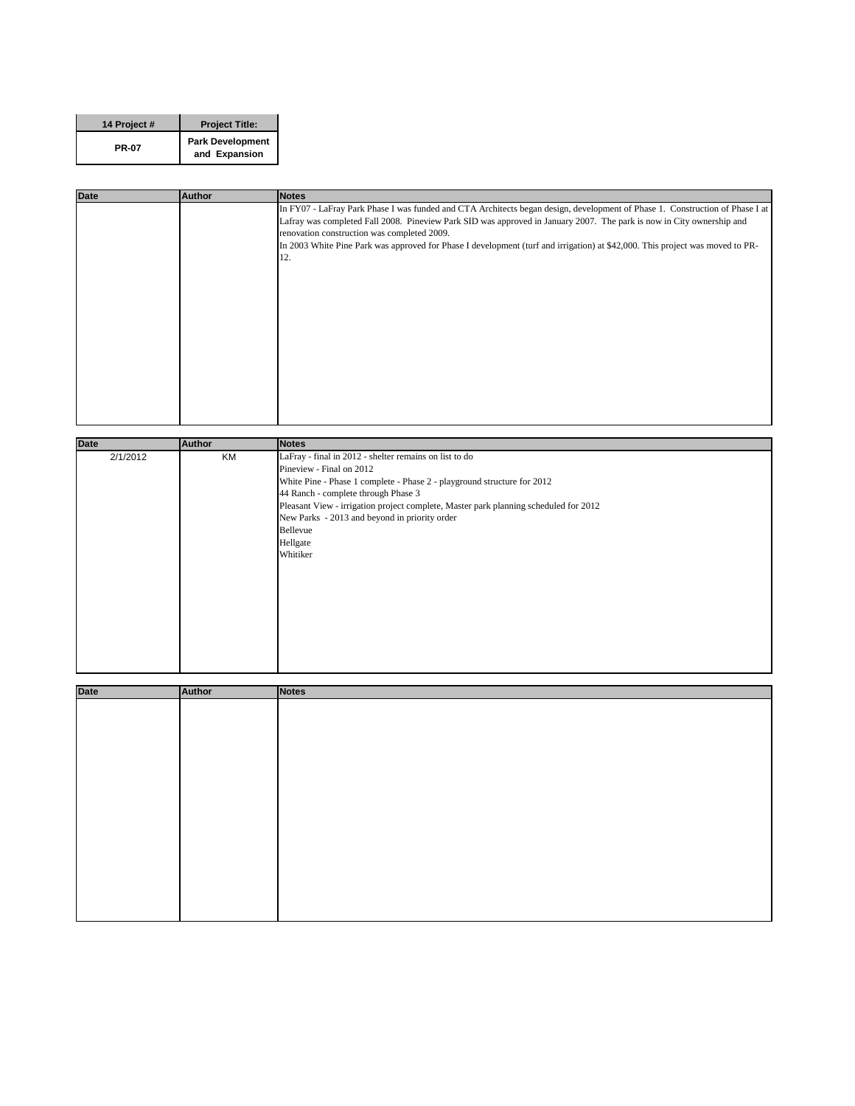| 14 Project # | <b>Project Title:</b>                    |
|--------------|------------------------------------------|
| <b>PR-07</b> | <b>Park Development</b><br>and Expansion |

| <b>Date</b> | <b>Author</b> | <b>Notes</b>                                                                                                                                                                                                                                                                                         |
|-------------|---------------|------------------------------------------------------------------------------------------------------------------------------------------------------------------------------------------------------------------------------------------------------------------------------------------------------|
|             |               | In FY07 - LaFray Park Phase I was funded and CTA Architects began design, development of Phase 1. Construction of Phase I at<br>Lafray was completed Fall 2008. Pineview Park SID was approved in January 2007. The park is now in City ownership and<br>renovation construction was completed 2009. |
|             |               | In 2003 White Pine Park was approved for Phase I development (turf and irrigation) at \$42,000. This project was moved to PR-<br>12.                                                                                                                                                                 |
|             |               |                                                                                                                                                                                                                                                                                                      |
|             |               |                                                                                                                                                                                                                                                                                                      |
|             |               |                                                                                                                                                                                                                                                                                                      |
|             |               |                                                                                                                                                                                                                                                                                                      |
|             |               |                                                                                                                                                                                                                                                                                                      |

| <b>Date</b> | <b>Author</b> | <b>Notes</b>                                                                         |
|-------------|---------------|--------------------------------------------------------------------------------------|
| 2/1/2012    | KM            | LaFray - final in 2012 - shelter remains on list to do                               |
|             |               | Pineview - Final on 2012                                                             |
|             |               | White Pine - Phase 1 complete - Phase 2 - playground structure for 2012              |
|             |               | 44 Ranch - complete through Phase 3                                                  |
|             |               | Pleasant View - irrigation project complete, Master park planning scheduled for 2012 |
|             |               | New Parks - 2013 and beyond in priority order                                        |
|             |               | Bellevue                                                                             |
|             |               | Hellgate                                                                             |
|             |               | Whitiker                                                                             |
|             |               |                                                                                      |
|             |               |                                                                                      |
|             |               |                                                                                      |
|             |               |                                                                                      |
|             |               |                                                                                      |
|             |               |                                                                                      |
|             |               |                                                                                      |
|             |               |                                                                                      |
|             |               |                                                                                      |

| <b>Date</b> | Author | <b>Notes</b> |
|-------------|--------|--------------|
|             |        |              |
|             |        |              |
|             |        |              |
|             |        |              |
|             |        |              |
|             |        |              |
|             |        |              |
|             |        |              |
|             |        |              |
|             |        |              |
|             |        |              |
|             |        |              |
|             |        |              |
|             |        |              |
|             |        |              |
|             |        |              |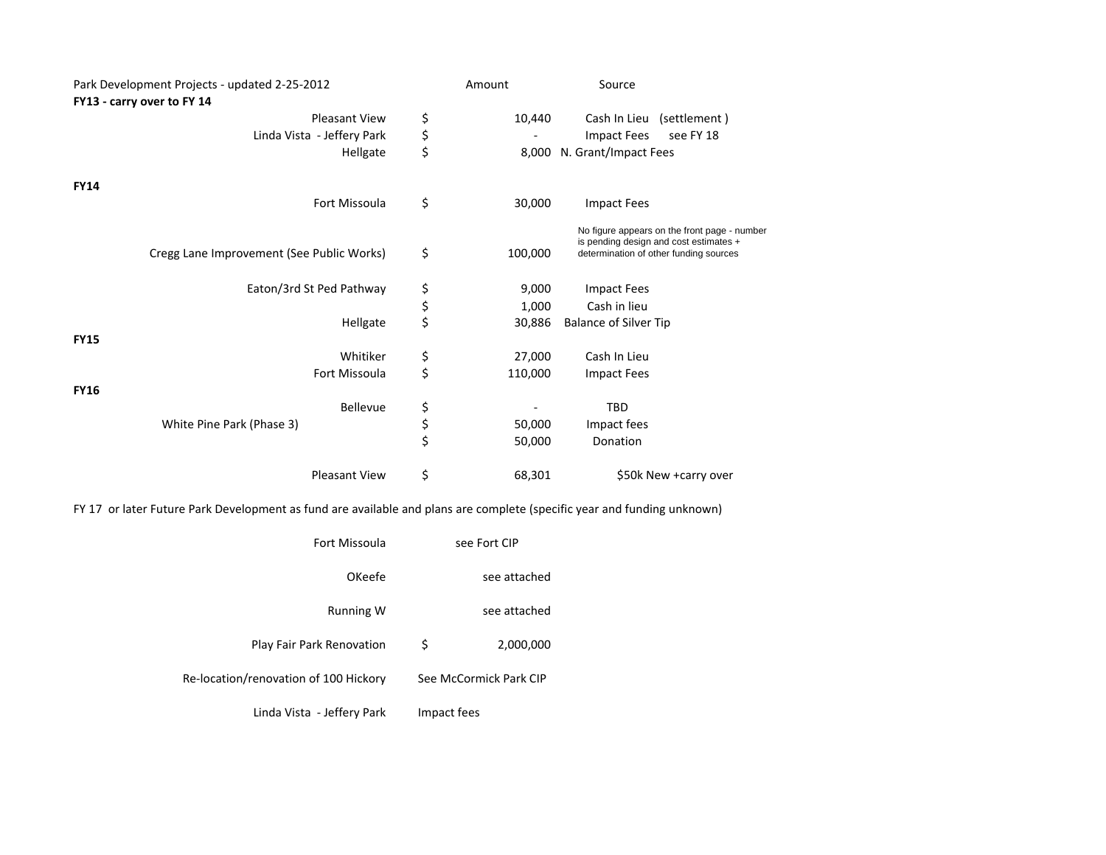| Park Development Projects - updated 2-25-2012 |          | Amount  | Source                                                                                                                           |
|-----------------------------------------------|----------|---------|----------------------------------------------------------------------------------------------------------------------------------|
| FY13 - carry over to FY 14                    |          |         |                                                                                                                                  |
| Pleasant View                                 | \$       | 10,440  | Cash In Lieu (settlement)                                                                                                        |
| Linda Vista - Jeffery Park                    | \$       |         | <b>Impact Fees</b><br>see FY 18                                                                                                  |
| Hellgate                                      | \$       | 8,000   | N. Grant/Impact Fees                                                                                                             |
| <b>FY14</b>                                   |          |         |                                                                                                                                  |
| Fort Missoula                                 | \$       | 30,000  | <b>Impact Fees</b>                                                                                                               |
| Cregg Lane Improvement (See Public Works)     | \$       | 100,000 | No figure appears on the front page - number<br>is pending design and cost estimates +<br>determination of other funding sources |
| Eaton/3rd St Ped Pathway                      | \$       | 9,000   | <b>Impact Fees</b>                                                                                                               |
|                                               | \$       | 1,000   | Cash in lieu                                                                                                                     |
| Hellgate<br><b>FY15</b>                       | \$       | 30,886  | <b>Balance of Silver Tip</b>                                                                                                     |
| Whitiker                                      | \$       | 27,000  | Cash In Lieu                                                                                                                     |
| Fort Missoula                                 | \$       | 110,000 | <b>Impact Fees</b>                                                                                                               |
| <b>FY16</b><br><b>Bellevue</b>                | \$       |         | <b>TBD</b>                                                                                                                       |
| White Pine Park (Phase 3)                     |          | 50,000  | Impact fees                                                                                                                      |
|                                               | \$<br>\$ | 50,000  | Donation                                                                                                                         |
| <b>Pleasant View</b>                          | \$       | 68,301  | \$50k New +carry over                                                                                                            |

FY 17 or later Future Park Development as fund are available and plans are complete (specific year and funding unknown)

| Fort Missoula                         | see Fort CIP           |              |  |  |  |
|---------------------------------------|------------------------|--------------|--|--|--|
| OKeefe                                |                        | see attached |  |  |  |
| <b>Running W</b>                      |                        | see attached |  |  |  |
| Play Fair Park Renovation             | \$                     | 2,000,000    |  |  |  |
| Re-location/renovation of 100 Hickory | See McCormick Park CIP |              |  |  |  |
| Linda Vista - Jeffery Park            | Impact fees            |              |  |  |  |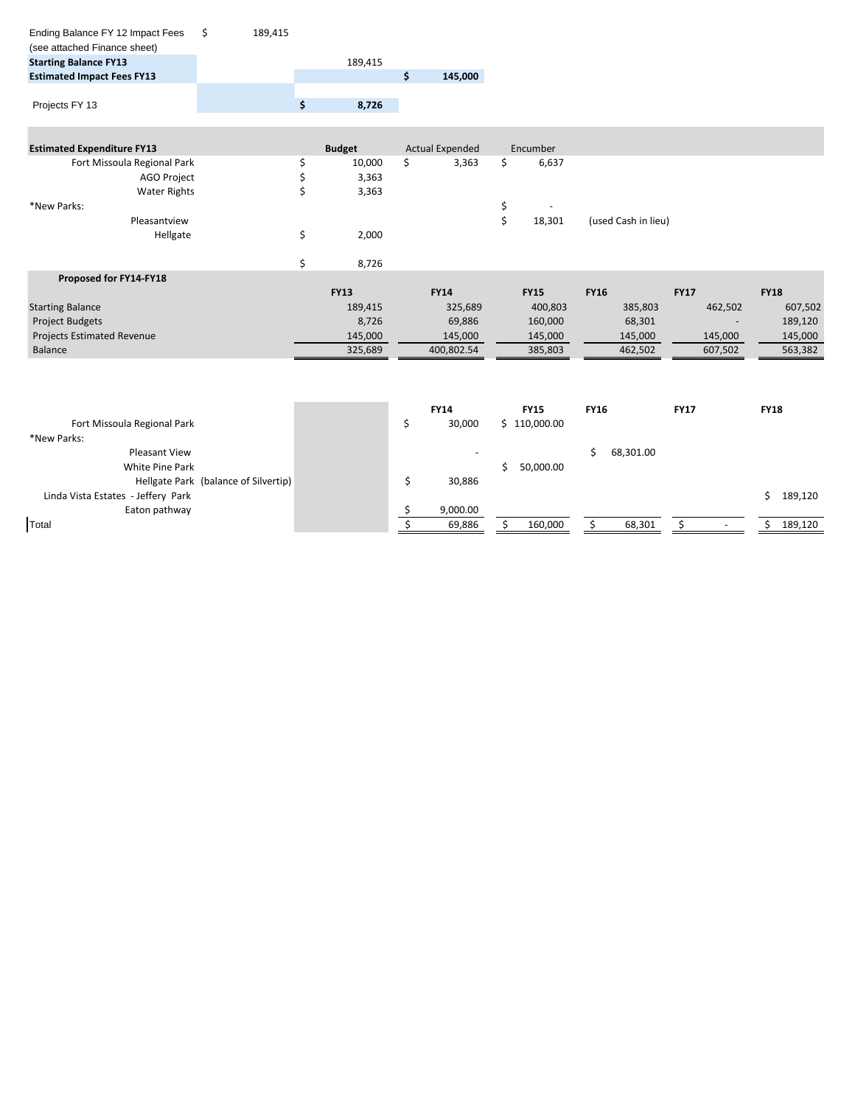| Ending Balance FY 12 Impact Fees  | \$<br>189,415 |     |               |                        |              |             |                     |                          |             |
|-----------------------------------|---------------|-----|---------------|------------------------|--------------|-------------|---------------------|--------------------------|-------------|
| (see attached Finance sheet)      |               |     |               |                        |              |             |                     |                          |             |
| <b>Starting Balance FY13</b>      |               |     | 189,415       |                        |              |             |                     |                          |             |
| <b>Estimated Impact Fees FY13</b> |               |     |               | \$<br>145,000          |              |             |                     |                          |             |
|                                   |               |     |               |                        |              |             |                     |                          |             |
| Projects FY 13                    |               | \$  | 8,726         |                        |              |             |                     |                          |             |
|                                   |               |     |               |                        |              |             |                     |                          |             |
|                                   |               |     |               |                        |              |             |                     |                          |             |
| <b>Estimated Expenditure FY13</b> |               |     | <b>Budget</b> | <b>Actual Expended</b> | Encumber     |             |                     |                          |             |
| Fort Missoula Regional Park       |               | \$. | 10,000        | \$<br>3,363            | \$<br>6,637  |             |                     |                          |             |
| AGO Project                       |               | \$  | 3,363         |                        |              |             |                     |                          |             |
| <b>Water Rights</b>               |               | \$  | 3,363         |                        |              |             |                     |                          |             |
| *New Parks:                       |               |     |               |                        | \$           |             |                     |                          |             |
| Pleasantview                      |               |     |               |                        | \$<br>18,301 |             | (used Cash in lieu) |                          |             |
| Hellgate                          |               | \$  | 2,000         |                        |              |             |                     |                          |             |
|                                   |               |     |               |                        |              |             |                     |                          |             |
|                                   |               | \$  | 8,726         |                        |              |             |                     |                          |             |
| Proposed for FY14-FY18            |               |     |               |                        |              |             |                     |                          |             |
|                                   |               |     | <b>FY13</b>   | <b>FY14</b>            | <b>FY15</b>  | <b>FY16</b> |                     | <b>FY17</b>              | <b>FY18</b> |
| <b>Starting Balance</b>           |               |     | 189,415       | 325,689                | 400,803      |             | 385,803             | 462,502                  | 607,502     |
| <b>Project Budgets</b>            |               |     | 8,726         | 69,886                 | 160,000      |             | 68,301              | $\overline{\phantom{a}}$ | 189,120     |
| <b>Projects Estimated Revenue</b> |               |     | 145,000       | 145,000                | 145,000      |             | 145,000             | 145,000                  | 145,000     |

| 189,120 |
|---------|
|         |
| 189,120 |
|         |

Balance 325,689 400,802.54 385,803 462,502 607,502 563,382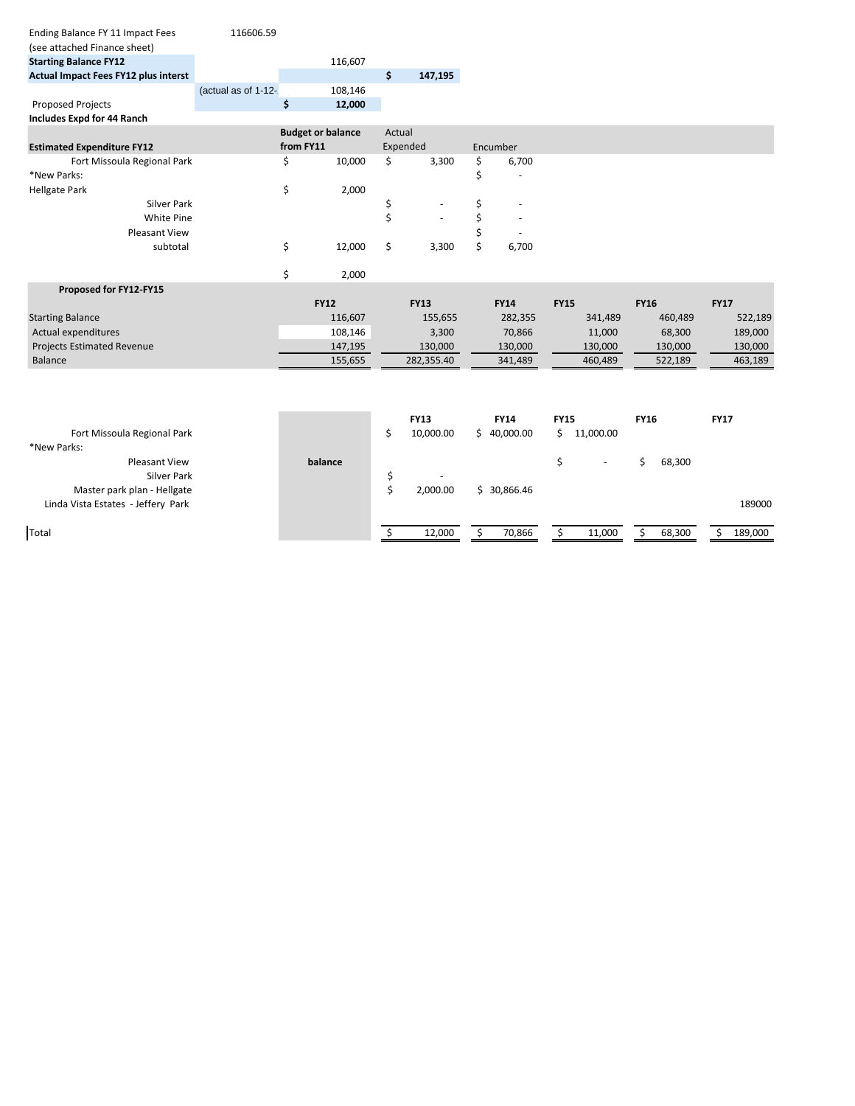| Ending Balance FY 11 Impact Fees     | 116606.59           |           |                          |          |             |    |             |                 |              |             |
|--------------------------------------|---------------------|-----------|--------------------------|----------|-------------|----|-------------|-----------------|--------------|-------------|
| (see attached Finance sheet)         |                     |           |                          |          |             |    |             |                 |              |             |
| <b>Starting Balance FY12</b>         |                     |           | 116,607                  |          |             |    |             |                 |              |             |
| Actual Impact Fees FY12 plus interst |                     |           |                          | \$       | 147,195     |    |             |                 |              |             |
|                                      | (actual as of 1-12- |           | 108,146                  |          |             |    |             |                 |              |             |
| <b>Proposed Projects</b>             |                     | \$        | 12,000                   |          |             |    |             |                 |              |             |
| Includes Expd for 44 Ranch           |                     |           |                          |          |             |    |             |                 |              |             |
|                                      |                     |           | <b>Budget or balance</b> | Actual   |             |    |             |                 |              |             |
| <b>Estimated Expenditure FY12</b>    |                     | from FY11 |                          | Expended |             |    | Encumber    |                 |              |             |
| Fort Missoula Regional Park          |                     | \$        | 10,000                   | \$       | 3,300       | \$ | 6,700       |                 |              |             |
| *New Parks:                          |                     |           |                          |          |             | \$ |             |                 |              |             |
| <b>Hellgate Park</b>                 |                     | \$        | 2,000                    |          |             |    |             |                 |              |             |
| <b>Silver Park</b>                   |                     |           |                          | \$       |             | \$ |             |                 |              |             |
| <b>White Pine</b>                    |                     |           |                          | \$       | ä,          | \$ |             |                 |              |             |
| <b>Pleasant View</b>                 |                     |           |                          |          |             | \$ |             |                 |              |             |
| subtotal                             |                     | \$        | 12,000                   | \$       | 3,300       | Ś  | 6,700       |                 |              |             |
|                                      |                     |           |                          |          |             |    |             |                 |              |             |
|                                      |                     | \$        | 2,000                    |          |             |    |             |                 |              |             |
| Proposed for FY12-FY15               |                     |           |                          |          |             |    |             |                 |              |             |
|                                      |                     |           | <b>FY12</b>              |          | <b>FY13</b> |    | <b>FY14</b> | <b>FY15</b>     | <b>FY16</b>  | <b>FY17</b> |
| <b>Starting Balance</b>              |                     |           | 116,607                  |          | 155,655     |    | 282,355     | 341,489         | 460,489      | 522,189     |
| Actual expenditures                  |                     |           | 108,146                  |          | 3,300       |    | 70,866      | 11,000          | 68,300       | 189,000     |
| <b>Projects Estimated Revenue</b>    |                     |           | 147,195                  |          | 130,000     |    | 130,000     | 130,000         | 130,000      | 130,000     |
| <b>Balance</b>                       |                     |           | 155,655                  |          | 282,355.40  |    | 341,489     | 460,489         | 522,189      | 463,189     |
|                                      |                     |           |                          |          |             |    |             |                 |              |             |
|                                      |                     |           |                          |          |             |    |             |                 |              |             |
|                                      |                     |           |                          |          |             |    |             |                 |              |             |
|                                      |                     |           |                          |          | <b>FY13</b> |    | <b>FY14</b> | <b>FY15</b>     | <b>FY16</b>  | <b>FY17</b> |
| Fort Missoula Regional Park          |                     |           |                          | \$       | 10,000.00   |    | \$40,000.00 | \$<br>11,000.00 |              |             |
| *New Parks:                          |                     |           |                          |          |             |    |             |                 |              |             |
| <b>Pleasant View</b>                 |                     |           | balance                  |          |             |    |             | \$              | \$<br>68,300 |             |
| <b>Silver Park</b>                   |                     |           |                          | \$       |             |    |             |                 |              |             |
| Master park plan - Hellgate          |                     |           |                          | \$       | 2,000.00    |    | \$30,866.46 |                 |              |             |

Linda Vista Estates - Jeffery Park 189000

Total \$ 12,000 \$ 70,866 \$ 11,000 \$ 68,300 \$ 189,000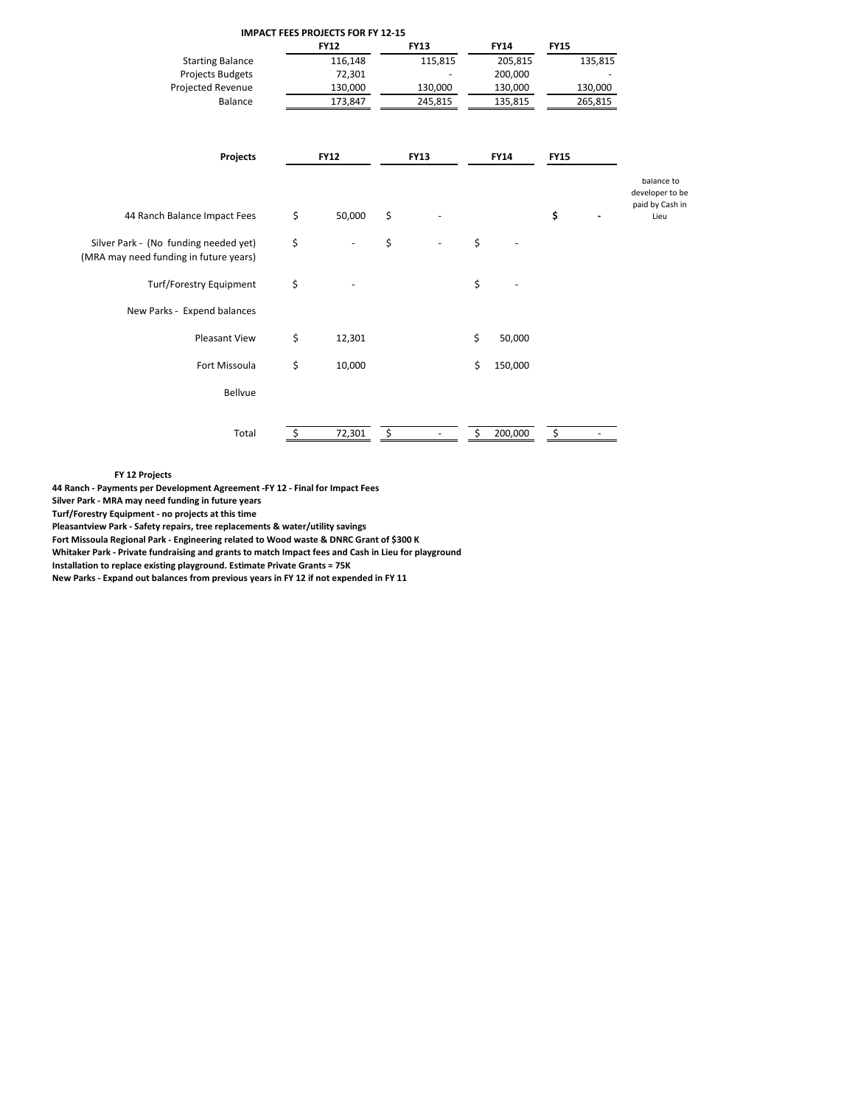|                                                                                 | <b>IMPACT FEES PROJECTS FOR FY 12-15</b> |             |    |             |             |         |                                                  |
|---------------------------------------------------------------------------------|------------------------------------------|-------------|----|-------------|-------------|---------|--------------------------------------------------|
|                                                                                 | <b>FY12</b>                              | <b>FY13</b> |    | <b>FY14</b> | <b>FY15</b> |         |                                                  |
| <b>Starting Balance</b>                                                         | 116,148                                  | 115,815     |    | 205,815     |             | 135,815 |                                                  |
| <b>Projects Budgets</b>                                                         | 72,301                                   |             |    | 200,000     |             |         |                                                  |
| Projected Revenue                                                               | 130,000                                  | 130,000     |    | 130,000     |             | 130,000 |                                                  |
| Balance                                                                         | 173,847                                  | 245,815     |    | 135,815     |             | 265,815 |                                                  |
| Projects                                                                        | <b>FY12</b>                              | <b>FY13</b> |    | <b>FY14</b> | <b>FY15</b> |         |                                                  |
|                                                                                 |                                          |             |    |             |             |         | balance to<br>developer to be<br>paid by Cash in |
| 44 Ranch Balance Impact Fees                                                    | \$<br>50,000                             | \$          |    |             | \$          |         | Lieu                                             |
| Silver Park - (No funding needed yet)<br>(MRA may need funding in future years) | \$                                       | \$          | \$ |             |             |         |                                                  |
| Turf/Forestry Equipment                                                         | \$                                       |             | \$ |             |             |         |                                                  |
| New Parks - Expend balances                                                     |                                          |             |    |             |             |         |                                                  |
| <b>Pleasant View</b>                                                            | \$<br>12,301                             |             | \$ | 50,000      |             |         |                                                  |
| Fort Missoula                                                                   | \$<br>10,000                             |             | \$ | 150,000     |             |         |                                                  |
| Bellvue                                                                         |                                          |             |    |             |             |         |                                                  |
| Total                                                                           | \$<br>72,301                             | \$          | Ś  | 200,000     | \$          |         |                                                  |

### **FY 12 Projects**

**44 Ranch - Payments per Development Agreement -FY 12 - Final for Impact Fees**

**Silver Park - MRA may need funding in future years**

**Turf/Forestry Equipment - no projects at this time**

**Pleasantview Park - Safety repairs, tree replacements & water/utility savings**

**Fort Missoula Regional Park - Engineering related to Wood waste & DNRC Grant of \$300 K**

**Whitaker Park - Private fundraising and grants to match Impact fees and Cash in Lieu for playground** 

**Installation to replace existing playground. Estimate Private Grants = 75K**

**New Parks - Expand out balances from previous years in FY 12 if not expended in FY 11**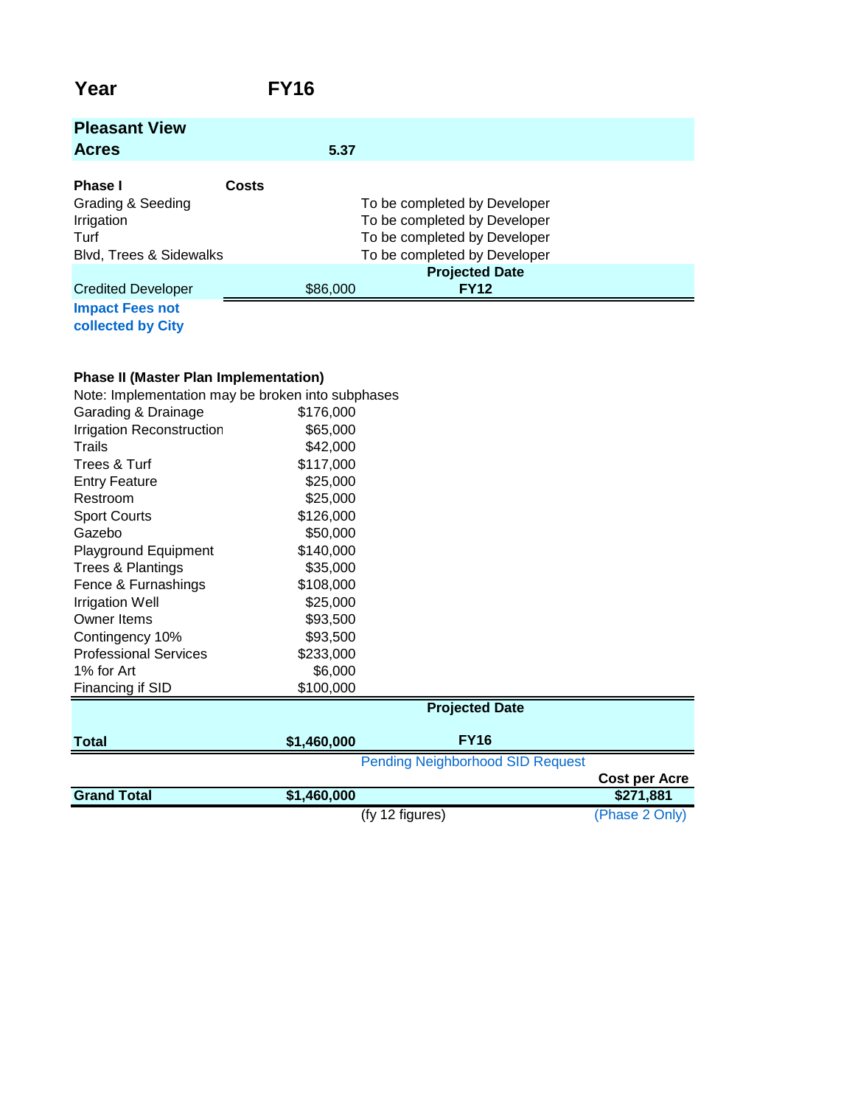| Year                                                                                                     | <b>FY16</b> |                                                                                                                              |  |
|----------------------------------------------------------------------------------------------------------|-------------|------------------------------------------------------------------------------------------------------------------------------|--|
| <b>Pleasant View</b><br><b>Acres</b>                                                                     | 5.37        |                                                                                                                              |  |
| <b>Phase I</b><br>Costs<br>Grading & Seeding<br>Irrigation<br>Turf<br><b>Blvd, Trees &amp; Sidewalks</b> |             | To be completed by Developer<br>To be completed by Developer<br>To be completed by Developer<br>To be completed by Developer |  |
| <b>Credited Developer</b><br><b>Impact Fees not</b>                                                      | \$86,000    | <b>Projected Date</b><br><b>FY12</b>                                                                                         |  |

**collected by City**

### **Phase II (Master Plan Implementation)**

| Note: Implementation may be broken into subphases |             |                                         |                      |
|---------------------------------------------------|-------------|-----------------------------------------|----------------------|
| Garading & Drainage                               | \$176,000   |                                         |                      |
| Irrigation Reconstruction                         | \$65,000    |                                         |                      |
| Trails                                            | \$42,000    |                                         |                      |
| Trees & Turf                                      | \$117,000   |                                         |                      |
| <b>Entry Feature</b>                              | \$25,000    |                                         |                      |
| Restroom                                          | \$25,000    |                                         |                      |
| <b>Sport Courts</b>                               | \$126,000   |                                         |                      |
| Gazebo                                            | \$50,000    |                                         |                      |
| <b>Playground Equipment</b>                       | \$140,000   |                                         |                      |
| Trees & Plantings                                 | \$35,000    |                                         |                      |
| Fence & Furnashings                               | \$108,000   |                                         |                      |
| <b>Irrigation Well</b>                            | \$25,000    |                                         |                      |
| Owner Items                                       | \$93,500    |                                         |                      |
| Contingency 10%                                   | \$93,500    |                                         |                      |
| <b>Professional Services</b>                      | \$233,000   |                                         |                      |
| 1% for Art                                        | \$6,000     |                                         |                      |
| Financing if SID                                  | \$100,000   |                                         |                      |
|                                                   |             | <b>Projected Date</b>                   |                      |
| <b>Total</b>                                      | \$1,460,000 | <b>FY16</b>                             |                      |
|                                                   |             | <b>Pending Neighborhood SID Request</b> |                      |
|                                                   |             |                                         | <b>Cost per Acre</b> |
| <b>Grand Total</b>                                | \$1,460,000 |                                         | \$271,881            |
|                                                   |             | (fy 12 figures)                         | (Phase 2 Only)       |
|                                                   |             |                                         |                      |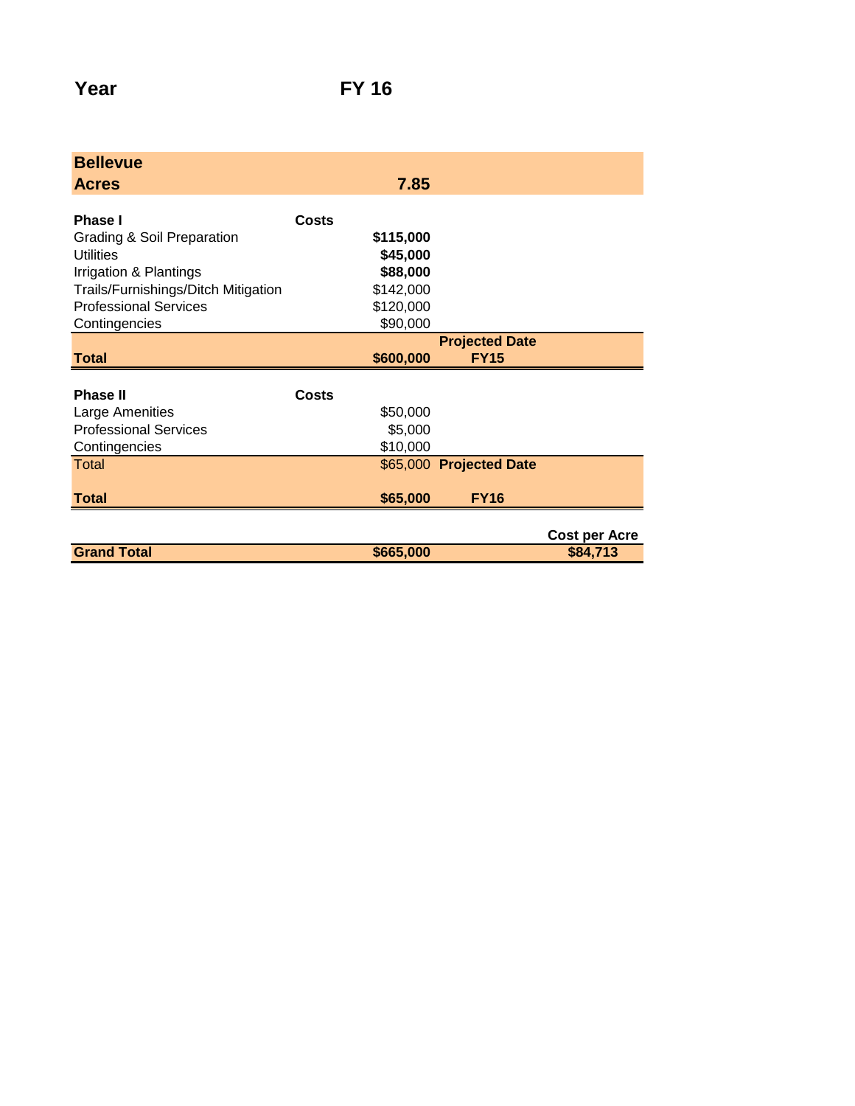| <b>Bellevue</b>                       |              |           |                         |                      |
|---------------------------------------|--------------|-----------|-------------------------|----------------------|
| <b>Acres</b>                          |              | 7.85      |                         |                      |
|                                       |              |           |                         |                      |
| <b>Phase I</b>                        | Costs        |           |                         |                      |
| <b>Grading &amp; Soil Preparation</b> |              | \$115,000 |                         |                      |
| Utilities                             |              | \$45,000  |                         |                      |
| Irrigation & Plantings                |              | \$88,000  |                         |                      |
| Trails/Furnishings/Ditch Mitigation   |              | \$142,000 |                         |                      |
| <b>Professional Services</b>          |              | \$120,000 |                         |                      |
| Contingencies                         |              | \$90,000  |                         |                      |
|                                       |              |           | <b>Projected Date</b>   |                      |
| <b>Total</b>                          |              | \$600,000 | <b>FY15</b>             |                      |
|                                       |              |           |                         |                      |
| <b>Phase II</b>                       | <b>Costs</b> |           |                         |                      |
| Large Amenities                       |              | \$50,000  |                         |                      |
| <b>Professional Services</b>          |              | \$5,000   |                         |                      |
| Contingencies                         |              | \$10,000  |                         |                      |
| Total                                 |              |           | \$65,000 Projected Date |                      |
|                                       |              |           |                         |                      |
| Total                                 |              | \$65,000  | <b>FY16</b>             |                      |
|                                       |              |           |                         |                      |
|                                       |              |           |                         | <b>Cost per Acre</b> |
| <b>Grand Total</b>                    |              | \$665,000 |                         | \$84,713             |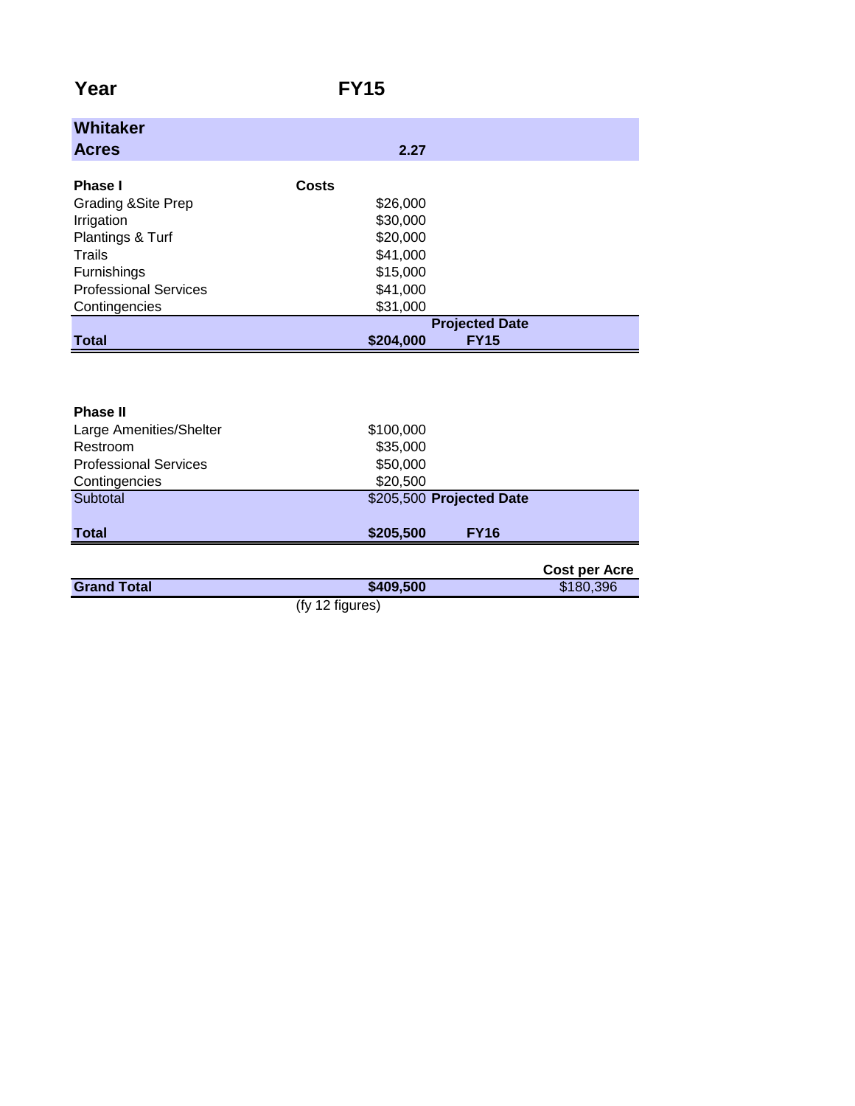# **Year FY15**

| <b>Whitaker</b>                |                          |  |
|--------------------------------|--------------------------|--|
| <b>Acres</b>                   | 2.27                     |  |
|                                |                          |  |
| <b>Phase I</b>                 | Costs                    |  |
| <b>Grading &amp; Site Prep</b> | \$26,000                 |  |
| Irrigation                     | \$30,000                 |  |
| Plantings & Turf               | \$20,000                 |  |
| Trails                         | \$41,000                 |  |
| Furnishings                    | \$15,000                 |  |
| <b>Professional Services</b>   | \$41,000                 |  |
| Contingencies                  | \$31,000                 |  |
|                                | <b>Projected Date</b>    |  |
| <b>Total</b>                   | \$204,000<br><b>FY15</b> |  |
|                                |                          |  |

| <b>Phase II</b>              |                          |
|------------------------------|--------------------------|
| Large Amenities/Shelter      | \$100,000                |
| Restroom                     | \$35,000                 |
| <b>Professional Services</b> | \$50,000                 |
| Contingencies                | \$20,500                 |
| Subtotal                     | \$205,500 Projected Date |
| <b>Total</b>                 | \$205,500<br><b>FY16</b> |
|                              |                          |

|                    |                   | Cost per Acre |
|--------------------|-------------------|---------------|
| <b>Grand Total</b> | \$409,500         | \$180,396     |
|                    | $(6, 42$ figuraal |               |

(fy 12 figures)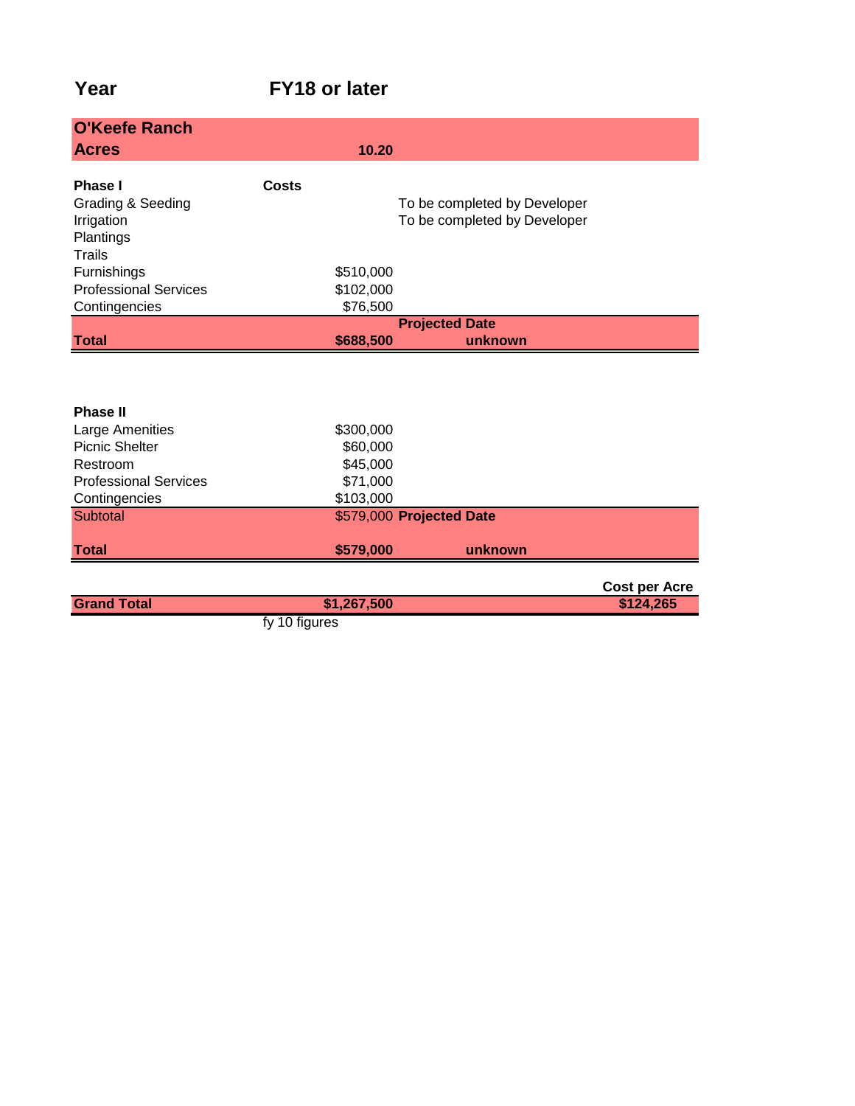### **Year FY18 or later**

| <b>O'Keefe Ranch</b>         |              |           |                              |
|------------------------------|--------------|-----------|------------------------------|
| <b>Acres</b>                 |              | 10.20     |                              |
|                              |              |           |                              |
| <b>Phase I</b>               | <b>Costs</b> |           |                              |
| Grading & Seeding            |              |           | To be completed by Developer |
| Irrigation                   |              |           | To be completed by Developer |
| <b>Plantings</b>             |              |           |                              |
| Trails                       |              |           |                              |
| <b>Furnishings</b>           |              | \$510,000 |                              |
| <b>Professional Services</b> |              | \$102,000 |                              |
| Contingencies                |              | \$76,500  |                              |
|                              |              |           | <b>Projected Date</b>        |
| <b>Total</b>                 |              | \$688,500 | unknown                      |
|                              |              |           |                              |

| <b>Phase II</b>              |                          |         |  |
|------------------------------|--------------------------|---------|--|
| Large Amenities              | \$300,000                |         |  |
| <b>Picnic Shelter</b>        | \$60,000                 |         |  |
| Restroom                     | \$45,000                 |         |  |
| <b>Professional Services</b> | \$71,000                 |         |  |
| Contingencies                | \$103,000                |         |  |
| Subtotal                     | \$579,000 Projected Date |         |  |
| <b>Total</b>                 | \$579,000                | unknown |  |
|                              |                          |         |  |

|                    |                                               | <b>Cost per Acre</b> |
|--------------------|-----------------------------------------------|----------------------|
| <b>Grand Total</b> | \$1,267,500                                   | \$124,265            |
|                    | $f_{n+1}$ and $f_{n+1}$ is a set of $f_{n+1}$ |                      |

fy 10 figures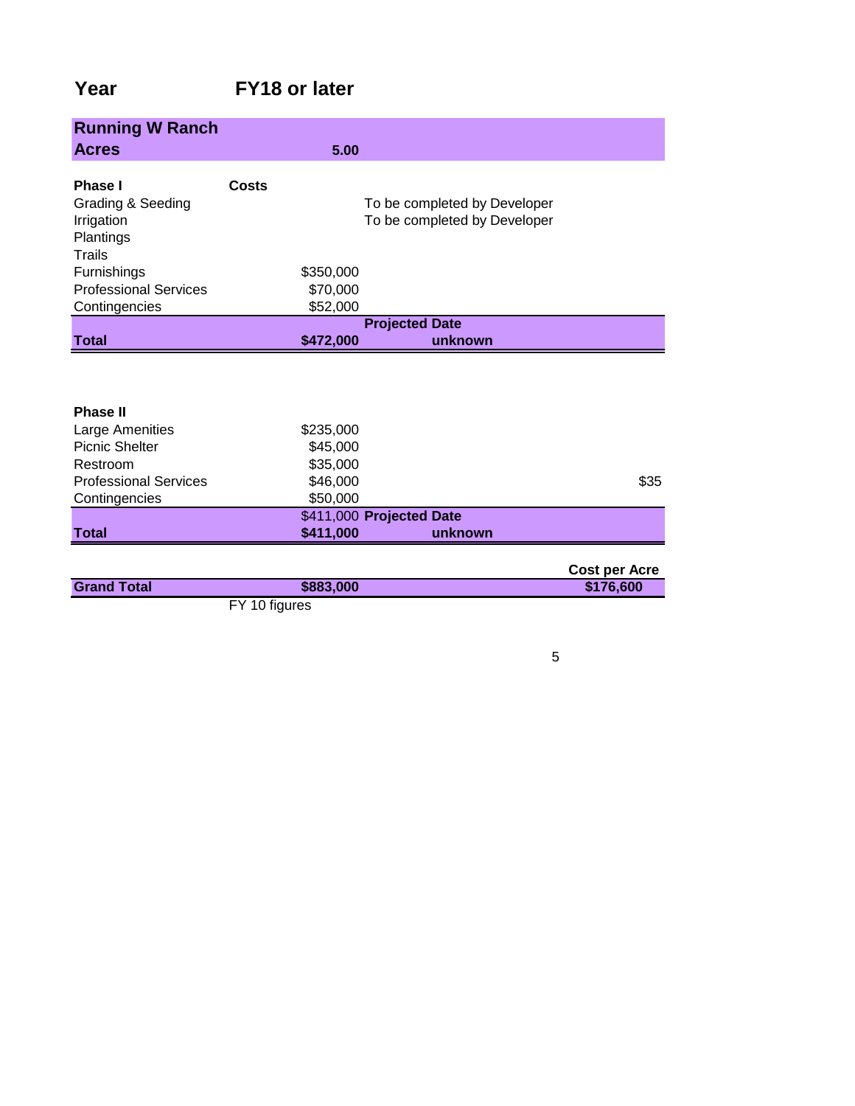# **Year FY18 or later**

| <b>Running W Ranch</b><br><b>Acres</b>                                                     | 5.00                  |                                                              |
|--------------------------------------------------------------------------------------------|-----------------------|--------------------------------------------------------------|
| <b>Phase I</b><br><b>Grading &amp; Seeding</b><br>Irrigation<br><b>Plantings</b><br>Trails | Costs                 | To be completed by Developer<br>To be completed by Developer |
| Furnishings<br><b>Professional Services</b>                                                | \$350,000<br>\$70,000 |                                                              |
| Contingencies                                                                              | \$52,000              |                                                              |
|                                                                                            |                       | <b>Projected Date</b>                                        |
| <b>Total</b>                                                                               | \$472,000             | unknown                                                      |
| <b>Phase II</b><br><b>Large Amenities</b>                                                  | \$235,000             |                                                              |

|                              |                          |         | Cost nor Acro |
|------------------------------|--------------------------|---------|---------------|
| <b>Total</b>                 | \$411,000                | unknown |               |
|                              | \$411,000 Projected Date |         |               |
| Contingencies                | \$50,000                 |         |               |
| <b>Professional Services</b> | \$46,000                 |         | \$35          |
| Restroom                     | \$35,000                 |         |               |
| <b>Picnic Shelter</b>        | \$45,000                 |         |               |

|                    |                | Cost per Acre |
|--------------------|----------------|---------------|
| <b>Grand Total</b> | \$883,000      | \$176,600     |
|                    | $\blacksquare$ |               |

5

FY 10 figures